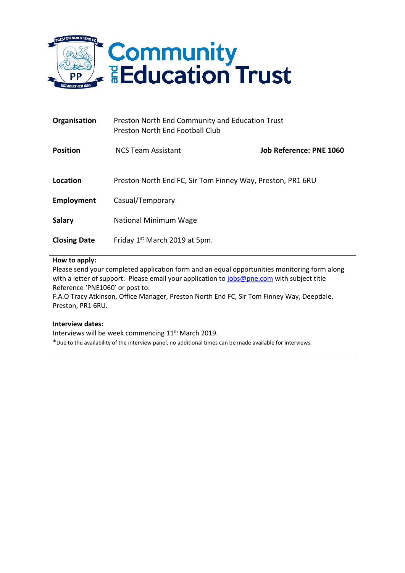

| Organisation        | Preston North End Community and Education Trust<br>Preston North End Football Club |                         |
|---------------------|------------------------------------------------------------------------------------|-------------------------|
| <b>Position</b>     | <b>NCS Team Assistant</b>                                                          | Job Reference: PNE 1060 |
| Location            | Preston North End FC, Sir Tom Finney Way, Preston, PR1 6RU                         |                         |
| Employment          | Casual/Temporary                                                                   |                         |
| <b>Salary</b>       | National Minimum Wage                                                              |                         |
| <b>Closing Date</b> | Friday 1 <sup>st</sup> March 2019 at 5pm.                                          |                         |

## **How to apply:**

Please send your completed application form and an equal opportunities monitoring form along with a letter of support. Please email your application to [jobs@pne.com](mailto:jobs@pne.com) with subject title Reference 'PNE1060' or post to: F.A.O Tracy Atkinson, Office Manager, Preston North End FC, Sir Tom Finney Way, Deepdale, Preston, PR1 6RU.

## **Interview dates:**

Interviews will be week commencing 11<sup>th</sup> March 2019.

\*Due to the availability of the interview panel, no additional times can be made available for interviews.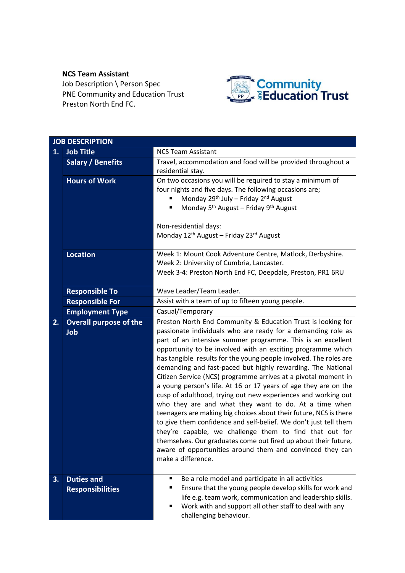# **NCS Team Assistant**

Job Description \ Person Spec PNE Community and Education Trust Preston North End FC.



|    |                               | <b>JOB DESCRIPTION</b>                                                                                                      |  |  |  |
|----|-------------------------------|-----------------------------------------------------------------------------------------------------------------------------|--|--|--|
| 1. | <b>Job Title</b>              | <b>NCS Team Assistant</b>                                                                                                   |  |  |  |
|    | <b>Salary / Benefits</b>      | Travel, accommodation and food will be provided throughout a                                                                |  |  |  |
|    |                               | residential stay.                                                                                                           |  |  |  |
|    | <b>Hours of Work</b>          | On two occasions you will be required to stay a minimum of                                                                  |  |  |  |
|    |                               | four nights and five days. The following occasions are;                                                                     |  |  |  |
|    |                               | Monday 29th July - Friday 2nd August                                                                                        |  |  |  |
|    |                               | Monday 5 <sup>th</sup> August - Friday 9 <sup>th</sup> August                                                               |  |  |  |
|    |                               | Non-residential days:                                                                                                       |  |  |  |
|    |                               | Monday 12 <sup>th</sup> August - Friday 23 <sup>rd</sup> August                                                             |  |  |  |
|    |                               |                                                                                                                             |  |  |  |
|    | <b>Location</b>               | Week 1: Mount Cook Adventure Centre, Matlock, Derbyshire.                                                                   |  |  |  |
|    |                               | Week 2: University of Cumbria, Lancaster.                                                                                   |  |  |  |
|    |                               | Week 3-4: Preston North End FC, Deepdale, Preston, PR1 6RU                                                                  |  |  |  |
|    | <b>Responsible To</b>         | Wave Leader/Team Leader.                                                                                                    |  |  |  |
|    | <b>Responsible For</b>        | Assist with a team of up to fifteen young people.                                                                           |  |  |  |
|    | <b>Employment Type</b>        | Casual/Temporary                                                                                                            |  |  |  |
| 2. | <b>Overall purpose of the</b> | Preston North End Community & Education Trust is looking for                                                                |  |  |  |
|    | Job                           | passionate individuals who are ready for a demanding role as                                                                |  |  |  |
|    |                               | part of an intensive summer programme. This is an excellent                                                                 |  |  |  |
|    |                               | opportunity to be involved with an exciting programme which                                                                 |  |  |  |
|    |                               | has tangible results for the young people involved. The roles are                                                           |  |  |  |
|    |                               | demanding and fast-paced but highly rewarding. The National                                                                 |  |  |  |
|    |                               | Citizen Service (NCS) programme arrives at a pivotal moment in                                                              |  |  |  |
|    |                               | a young person's life. At 16 or 17 years of age they are on the                                                             |  |  |  |
|    |                               | cusp of adulthood, trying out new experiences and working out                                                               |  |  |  |
|    |                               | who they are and what they want to do. At a time when                                                                       |  |  |  |
|    |                               | teenagers are making big choices about their future, NCS is there                                                           |  |  |  |
|    |                               | to give them confidence and self-belief. We don't just tell them<br>they're capable, we challenge them to find that out for |  |  |  |
|    |                               | themselves. Our graduates come out fired up about their future,                                                             |  |  |  |
|    |                               | aware of opportunities around them and convinced they can                                                                   |  |  |  |
|    |                               | make a difference.                                                                                                          |  |  |  |
|    |                               |                                                                                                                             |  |  |  |
| 3. | <b>Duties and</b>             | Be a role model and participate in all activities<br>п                                                                      |  |  |  |
|    | <b>Responsibilities</b>       | Ensure that the young people develop skills for work and<br>٠                                                               |  |  |  |
|    |                               | life e.g. team work, communication and leadership skills.                                                                   |  |  |  |
|    |                               | Work with and support all other staff to deal with any<br>п                                                                 |  |  |  |
|    |                               | challenging behaviour.                                                                                                      |  |  |  |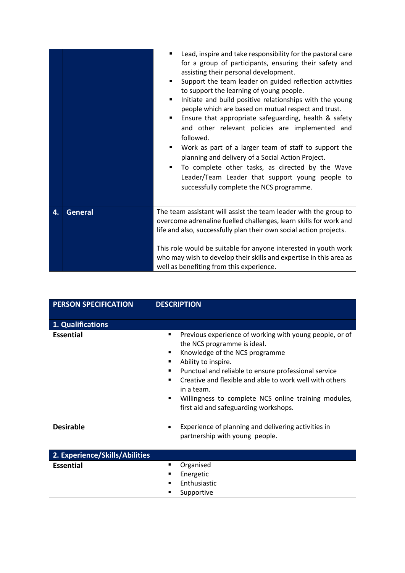|    |                | Lead, inspire and take responsibility for the pastoral care<br>٠<br>for a group of participants, ensuring their safety and<br>assisting their personal development.<br>Support the team leader on guided reflection activities<br>to support the learning of young people.<br>Initiate and build positive relationships with the young<br>people which are based on mutual respect and trust.<br>Ensure that appropriate safeguarding, health & safety<br>and other relevant policies are implemented and<br>followed.<br>Work as part of a larger team of staff to support the<br>planning and delivery of a Social Action Project.<br>To complete other tasks, as directed by the Wave<br>٠<br>Leader/Team Leader that support young people to<br>successfully complete the NCS programme. |
|----|----------------|----------------------------------------------------------------------------------------------------------------------------------------------------------------------------------------------------------------------------------------------------------------------------------------------------------------------------------------------------------------------------------------------------------------------------------------------------------------------------------------------------------------------------------------------------------------------------------------------------------------------------------------------------------------------------------------------------------------------------------------------------------------------------------------------|
| 4. | <b>General</b> | The team assistant will assist the team leader with the group to<br>overcome adrenaline fuelled challenges, learn skills for work and<br>life and also, successfully plan their own social action projects.<br>This role would be suitable for anyone interested in youth work<br>who may wish to develop their skills and expertise in this area as<br>well as benefiting from this experience.                                                                                                                                                                                                                                                                                                                                                                                             |

| <b>PERSON SPECIFICATION</b>    | <b>DESCRIPTION</b>                                                                                                                                                                                                                                                                                                                                                                                                                        |  |  |
|--------------------------------|-------------------------------------------------------------------------------------------------------------------------------------------------------------------------------------------------------------------------------------------------------------------------------------------------------------------------------------------------------------------------------------------------------------------------------------------|--|--|
| 1. Qualifications              |                                                                                                                                                                                                                                                                                                                                                                                                                                           |  |  |
| <b>Essential</b>               | Previous experience of working with young people, or of<br>$\blacksquare$<br>the NCS programme is ideal.<br>Knowledge of the NCS programme<br>٠<br>Ability to inspire.<br>٠<br>Punctual and reliable to ensure professional service<br>٠<br>Creative and flexible and able to work well with others<br>$\blacksquare$<br>in a team.<br>Willingness to complete NCS online training modules,<br>٠<br>first aid and safeguarding workshops. |  |  |
| <b>Desirable</b>               | Experience of planning and delivering activities in<br>$\bullet$<br>partnership with young people.                                                                                                                                                                                                                                                                                                                                        |  |  |
| 2. Experience/Skills/Abilities |                                                                                                                                                                                                                                                                                                                                                                                                                                           |  |  |
| <b>Essential</b>               | Organised<br>٠<br>Energetic<br>п<br>Enthusiastic<br>Supportive                                                                                                                                                                                                                                                                                                                                                                            |  |  |